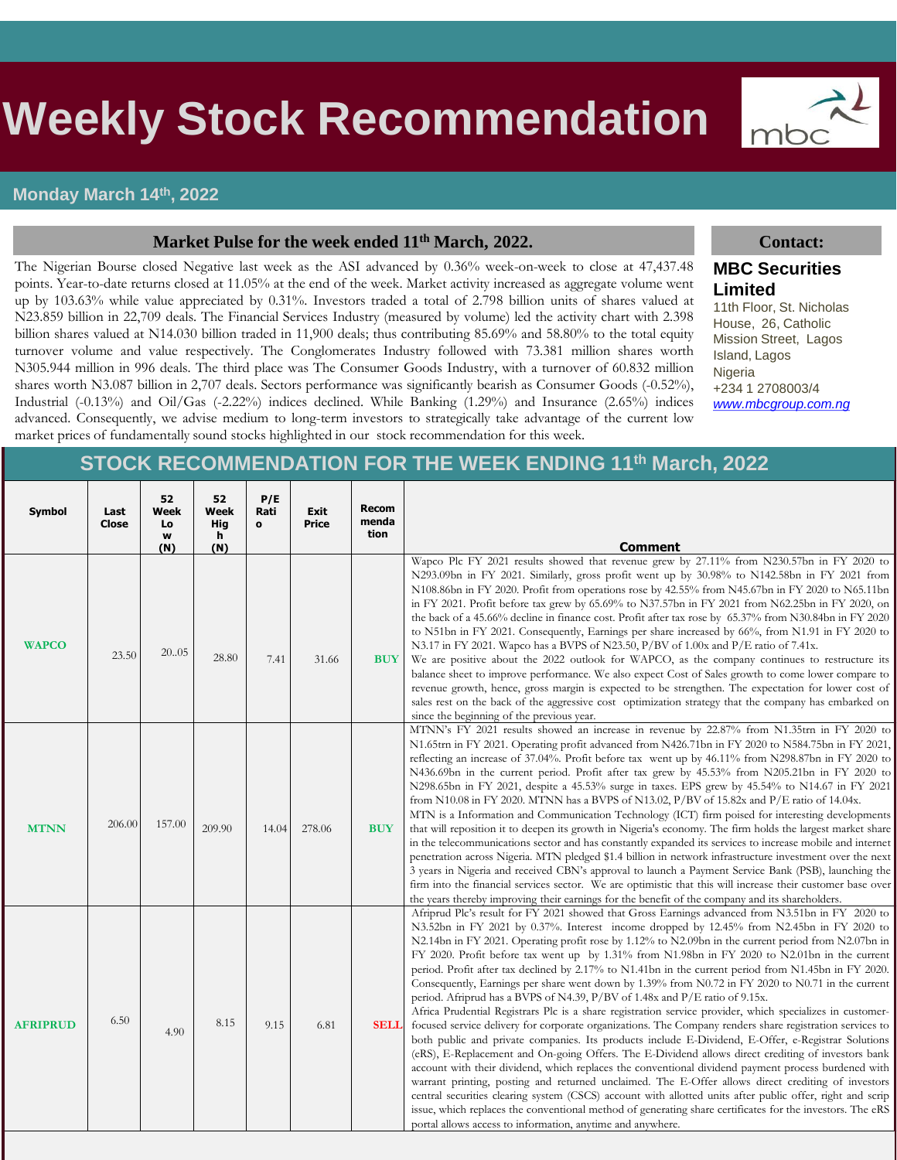# s **Weekly Stock Recommendation**



#### **Market Pulse for the week ended 11th March, 2022. Contact:**

The Nigerian Bourse closed Negative last week as the ASI advanced by 0.36% week-on-week to close at 47,437.48 points. Year-to-date returns closed at 11.05% at the end of the week. Market activity increased as aggregate volume went up by 103.63% while value appreciated by 0.31%. Investors traded a total of 2.798 billion units of shares valued at N23.859 billion in 22,709 deals. The Financial Services Industry (measured by volume) led the activity chart with 2.398 billion shares valued at N14.030 billion traded in 11,900 deals; thus contributing 85.69% and 58.80% to the total equity turnover volume and value respectively. The Conglomerates Industry followed with 73.381 million shares worth N305.944 million in 996 deals. The third place was The Consumer Goods Industry, with a turnover of 60.832 million shares worth N3.087 billion in 2,707 deals. Sectors performance was significantly bearish as Consumer Goods (-0.52%), Industrial (-0.13%) and Oil/Gas (-2.22%) indices declined. While Banking (1.29%) and Insurance (2.65%) indices advanced. Consequently, we advise medium to long-term investors to strategically take advantage of the current low market prices of fundamentally sound stocks highlighted in our stock recommendation for this week.



#### **MBC Securities Limited**

11th Floor, St. Nicholas House, 26, Catholic Mission Street, Lagos Island, Lagos Nigeria +234 1 2708003/4 *[www.mbcgroup.com.ng](http://www.mbcgroup.com.ng/)*

### **STOCK RECOMMENDATION FOR THE WEEK ENDING 11th March, 2022**

| Symbol          | Last<br>Close | 52<br>Week<br>Lo<br>W<br>(N) | 52<br>Week<br>Hig<br>h<br>(N) | P/E<br>Rati<br>$\mathbf{o}$ | <b>Exit</b><br>Price | <b>Recom</b><br>menda<br>tion | Comment                                                                                                                                                                                                                                                                                                                                                                                                                                                                                                                                                                                                                                                                                                                                                                                                                                                                                                                                                                                                                                                                                                                                                                                                                                                                                                                                                                                                                                                                                                                                                                                                                                     |
|-----------------|---------------|------------------------------|-------------------------------|-----------------------------|----------------------|-------------------------------|---------------------------------------------------------------------------------------------------------------------------------------------------------------------------------------------------------------------------------------------------------------------------------------------------------------------------------------------------------------------------------------------------------------------------------------------------------------------------------------------------------------------------------------------------------------------------------------------------------------------------------------------------------------------------------------------------------------------------------------------------------------------------------------------------------------------------------------------------------------------------------------------------------------------------------------------------------------------------------------------------------------------------------------------------------------------------------------------------------------------------------------------------------------------------------------------------------------------------------------------------------------------------------------------------------------------------------------------------------------------------------------------------------------------------------------------------------------------------------------------------------------------------------------------------------------------------------------------------------------------------------------------|
| <b>WAPCO</b>    | 23.50         | 20.05                        | 28.80                         | 7.41                        | 31.66                | <b>BUY</b>                    | Wapco Plc FY 2021 results showed that revenue grew by 27.11% from N230.57bn in FY 2020 to<br>N293.09bn in FY 2021. Similarly, gross profit went up by 30.98% to N142.58bn in FY 2021 from<br>N108.86bn in FY 2020. Profit from operations rose by 42.55% from N45.67bn in FY 2020 to N65.11bn<br>in FY 2021. Profit before tax grew by 65.69% to N37.57bn in FY 2021 from N62.25bn in FY 2020, on<br>the back of a 45.66% decline in finance cost. Profit after tax rose by 65.37% from N30.84bn in FY 2020<br>to N51bn in FY 2021. Consequently, Earnings per share increased by 66%, from N1.91 in FY 2020 to<br>N3.17 in FY 2021. Wapco has a BVPS of N23.50, P/BV of 1.00x and P/E ratio of 7.41x.<br>We are positive about the 2022 outlook for WAPCO, as the company continues to restructure its<br>balance sheet to improve performance. We also expect Cost of Sales growth to come lower compare to<br>revenue growth, hence, gross margin is expected to be strengthen. The expectation for lower cost of<br>sales rest on the back of the aggressive cost optimization strategy that the company has embarked on<br>since the beginning of the previous year.                                                                                                                                                                                                                                                                                                                                                                                                                                                                   |
| <b>MTNN</b>     | 206.00        | 157.00                       | 209.90                        | 14.04                       | 278.06               | <b>BUY</b>                    | MTNN's FY 2021 results showed an increase in revenue by 22.87% from N1.35trn in FY 2020 to<br>N1.65trn in FY 2021. Operating profit advanced from N426.71bn in FY 2020 to N584.75bn in FY 2021,<br>reflecting an increase of 37.04%. Profit before tax went up by 46.11% from N298.87bn in FY 2020 to<br>N436.69bn in the current period. Profit after tax grew by 45.53% from N205.21bn in FY 2020 to<br>N298.65bn in FY 2021, despite a 45.53% surge in taxes. EPS grew by 45.54% to N14.67 in FY 2021<br>from N10.08 in FY 2020. MTNN has a BVPS of N13.02, $P/BV$ of 15.82x and $P/E$ ratio of 14.04x.<br>MTN is a Information and Communication Technology (ICT) firm poised for interesting developments<br>that will reposition it to deepen its growth in Nigeria's economy. The firm holds the largest market share<br>in the telecommunications sector and has constantly expanded its services to increase mobile and internet<br>penetration across Nigeria. MTN pledged \$1.4 billion in network infrastructure investment over the next<br>3 years in Nigeria and received CBN's approval to launch a Payment Service Bank (PSB), launching the<br>firm into the financial services sector. We are optimistic that this will increase their customer base over<br>the years thereby improving their earnings for the benefit of the company and its shareholders.                                                                                                                                                                                                                                                             |
| <b>AFRIPRUD</b> | 6.50          | 4.90                         | 8.15                          | 9.15                        | 6.81                 | <b>SELL</b>                   | Afriprud Plc's result for FY 2021 showed that Gross Earnings advanced from N3.51bn in FY 2020 to<br>N3.52bn in FY 2021 by 0.37%. Interest income dropped by 12.45% from N2.45bn in FY 2020 to<br>N2.14bn in FY 2021. Operating profit rose by 1.12% to N2.09bn in the current period from N2.07bn in<br>FY 2020. Profit before tax went up by 1.31% from N1.98bn in FY 2020 to N2.01bn in the current<br>period. Profit after tax declined by 2.17% to N1.41bn in the current period from N1.45bn in FY 2020.<br>Consequently, Earnings per share went down by 1.39% from N0.72 in FY 2020 to N0.71 in the current<br>period. Afriprud has a BVPS of N4.39, P/BV of 1.48x and P/E ratio of 9.15x.<br>Africa Prudential Registrars Plc is a share registration service provider, which specializes in customer-<br>focused service delivery for corporate organizations. The Company renders share registration services to<br>both public and private companies. Its products include E-Dividend, E-Offer, e-Registrar Solutions<br>(eRS), E-Replacement and On-going Offers. The E-Dividend allows direct crediting of investors bank<br>account with their dividend, which replaces the conventional dividend payment process burdened with<br>warrant printing, posting and returned unclaimed. The E-Offer allows direct crediting of investors<br>central securities clearing system (CSCS) account with allotted units after public offer, right and scrip<br>issue, which replaces the conventional method of generating share certificates for the investors. The eRS<br>portal allows access to information, anytime and anywhere. |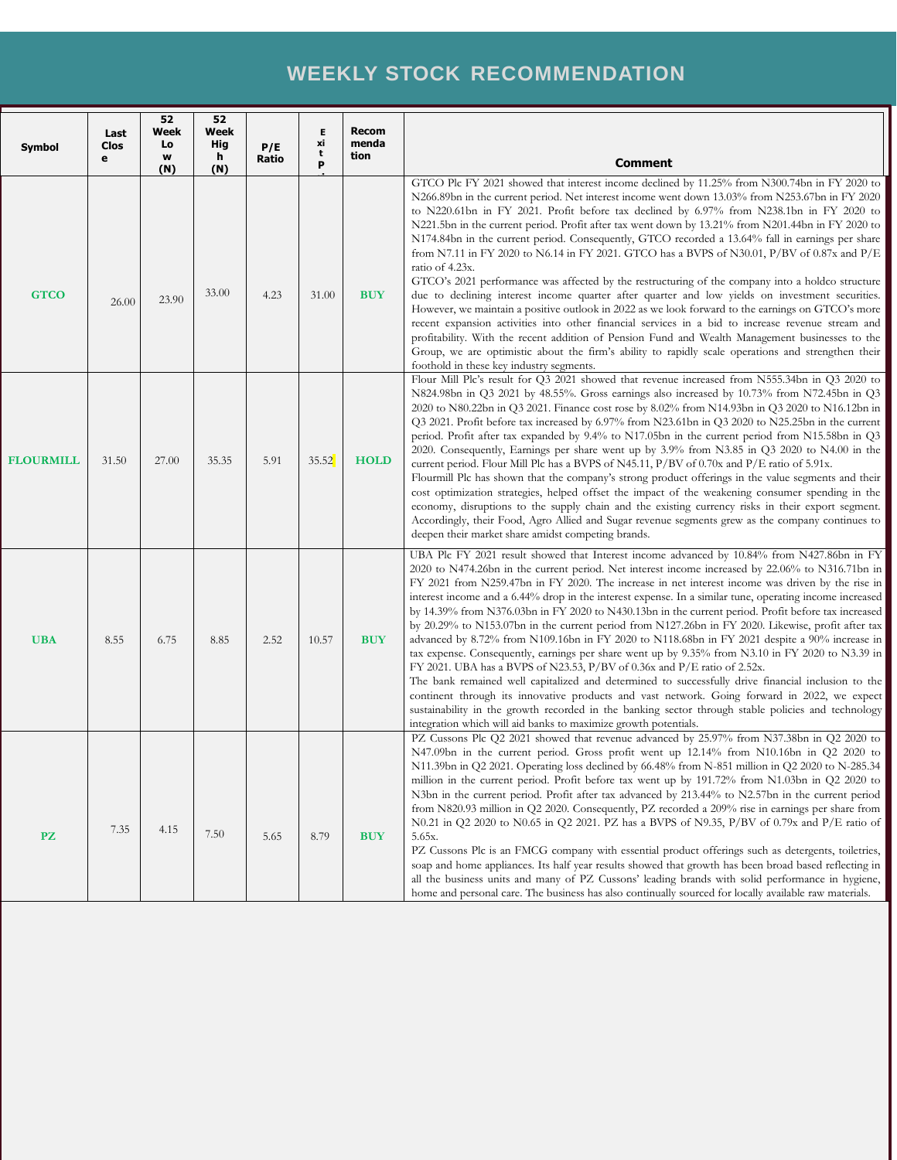# **WEEKLY STOCK RECOMMENDATION**

| <b>Symbol</b>    | Last<br>Clos<br>е | 52<br>Week<br>Lo<br>w<br>(N) | 52<br>Week<br>Hig<br>h<br>(N) | P/E<br>Ratio | Е<br>xi<br>t<br>P | <b>Recom</b><br>menda<br>tion | <b>Comment</b>                                                                                                                                                                                                                                                                                                                                                                                                                                                                                                                                                                                                                                                                                                                                                                                                                                                                                                                                                                                                                                                                                                                                                                                                                                                                                 |
|------------------|-------------------|------------------------------|-------------------------------|--------------|-------------------|-------------------------------|------------------------------------------------------------------------------------------------------------------------------------------------------------------------------------------------------------------------------------------------------------------------------------------------------------------------------------------------------------------------------------------------------------------------------------------------------------------------------------------------------------------------------------------------------------------------------------------------------------------------------------------------------------------------------------------------------------------------------------------------------------------------------------------------------------------------------------------------------------------------------------------------------------------------------------------------------------------------------------------------------------------------------------------------------------------------------------------------------------------------------------------------------------------------------------------------------------------------------------------------------------------------------------------------|
| <b>GTCO</b>      | 26.00             | 23.90                        | 33.00                         | 4.23         | 31.00             | <b>BUY</b>                    | GTCO Plc FY 2021 showed that interest income declined by 11.25% from N300.74bn in FY 2020 to<br>N266.89bn in the current period. Net interest income went down 13.03% from N253.67bn in FY 2020<br>to N220.61bn in FY 2021. Profit before tax declined by 6.97% from N238.1bn in FY 2020 to<br>N221.5bn in the current period. Profit after tax went down by 13.21% from N201.44bn in FY 2020 to<br>N174.84bn in the current period. Consequently, GTCO recorded a 13.64% fall in earnings per share<br>from N7.11 in FY 2020 to N6.14 in FY 2021. GTCO has a BVPS of N30.01, P/BV of 0.87x and P/E<br>ratio of 4.23x.<br>GTCO's 2021 performance was affected by the restructuring of the company into a holdco structure<br>due to declining interest income quarter after quarter and low yields on investment securities.<br>However, we maintain a positive outlook in 2022 as we look forward to the earnings on GTCO's more<br>recent expansion activities into other financial services in a bid to increase revenue stream and<br>profitability. With the recent addition of Pension Fund and Wealth Management businesses to the<br>Group, we are optimistic about the firm's ability to rapidly scale operations and strengthen their<br>foothold in these key industry segments.   |
| <b>FLOURMILL</b> | 31.50             | 27.00                        | 35.35                         | 5.91         | 35.52             | <b>HOLD</b>                   | Flour Mill Plc's result for Q3 2021 showed that revenue increased from N555.34bn in Q3 2020 to<br>N824.98bn in Q3 2021 by 48.55%. Gross earnings also increased by 10.73% from N72.45bn in Q3<br>2020 to N80.22bn in Q3 2021. Finance cost rose by 8.02% from N14.93bn in Q3 2020 to N16.12bn in<br>Q3 2021. Profit before tax increased by 6.97% from N23.61bn in Q3 2020 to N25.25bn in the current<br>period. Profit after tax expanded by 9.4% to N17.05bn in the current period from N15.58bn in Q3<br>2020. Consequently, Earnings per share went up by 3.9% from N3.85 in Q3 2020 to N4.00 in the<br>current period. Flour Mill Plc has a BVPS of N45.11, $P/BV$ of 0.70x and $P/E$ ratio of 5.91x.<br>Flourmill Plc has shown that the company's strong product offerings in the value segments and their<br>cost optimization strategies, helped offset the impact of the weakening consumer spending in the<br>economy, disruptions to the supply chain and the existing currency risks in their export segment.<br>Accordingly, their Food, Agro Allied and Sugar revenue segments grew as the company continues to<br>deepen their market share amidst competing brands.                                                                                                           |
| <b>UBA</b>       | 8.55              | 6.75                         | 8.85                          | 2.52         | 10.57             | <b>BUY</b>                    | UBA Plc FY 2021 result showed that Interest income advanced by 10.84% from N427.86bn in FY<br>2020 to N474.26bn in the current period. Net interest income increased by 22.06% to N316.71bn in<br>FY 2021 from N259.47bn in FY 2020. The increase in net interest income was driven by the rise in<br>interest income and a 6.44% drop in the interest expense. In a similar tune, operating income increased<br>by 14.39% from N376.03bn in FY 2020 to N430.13bn in the current period. Profit before tax increased<br>by 20.29% to N153.07bn in the current period from N127.26bn in FY 2020. Likewise, profit after tax<br>advanced by 8.72% from N109.16bn in FY 2020 to N118.68bn in FY 2021 despite a 90% increase in<br>tax expense. Consequently, earnings per share went up by 9.35% from N3.10 in FY 2020 to N3.39 in<br>FY 2021. UBA has a BVPS of N23.53, $P/BV$ of 0.36x and $P/E$ ratio of 2.52x.<br>The bank remained well capitalized and determined to successfully drive financial inclusion to the<br>continent through its innovative products and vast network. Going forward in 2022, we expect<br>sustainability in the growth recorded in the banking sector through stable policies and technology<br>integration which will aid banks to maximize growth potentials. |
| <b>PZ</b>        | 7.35              | 4.15                         | 7.50                          | 5.65         | 8.79              | <b>BUY</b>                    | PZ Cussons Plc Q2 2021 showed that revenue advanced by 25.97% from N37.38bn in Q2 2020 to<br>N47.09bn in the current period. Gross profit went up 12.14% from N10.16bn in Q2 2020 to<br>N11.39bn in Q2 2021. Operating loss declined by 66.48% from N-851 million in Q2 2020 to N-285.34<br>million in the current period. Profit before tax went up by 191.72% from N1.03bn in Q2 2020 to<br>N3bn in the current period. Profit after tax advanced by 213.44% to N2.57bn in the current period<br>from N820.93 million in Q2 2020. Consequently, PZ recorded a 209% rise in earnings per share from<br>N0.21 in Q2 2020 to N0.65 in Q2 2021. PZ has a BVPS of N9.35, P/BV of 0.79x and P/E ratio of<br>5.65x.<br>PZ Cussons Plc is an FMCG company with essential product offerings such as detergents, toiletries,<br>soap and home appliances. Its half year results showed that growth has been broad based reflecting in<br>all the business units and many of PZ Cussons' leading brands with solid performance in hygiene,<br>home and personal care. The business has also continually sourced for locally available raw materials.                                                                                                                                                    |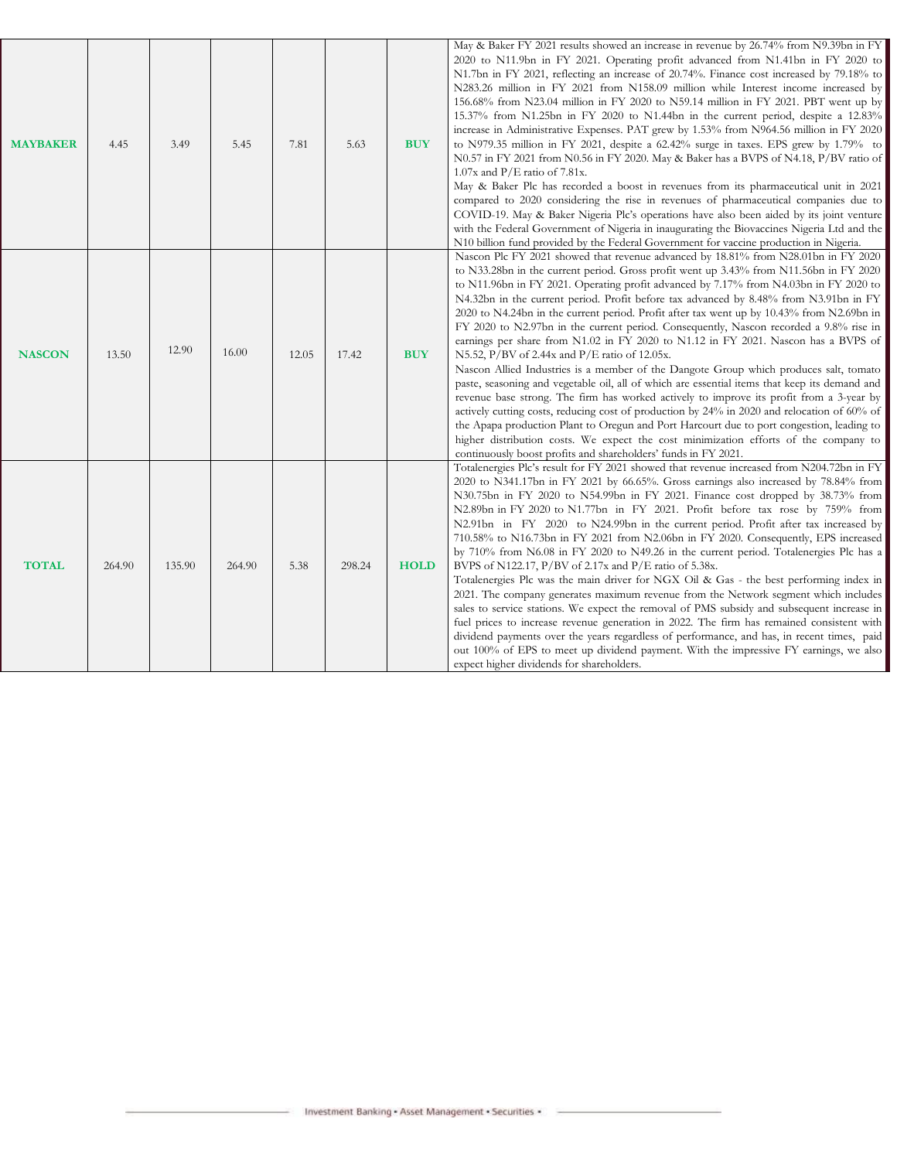| <b>MAYBAKER</b> | 4.45   | 3.49   | 5.45   | 7.81  | 5.63   | <b>BUY</b>  | May & Baker FY 2021 results showed an increase in revenue by 26.74% from N9.39bn in FY<br>2020 to N11.9bn in FY 2021. Operating profit advanced from N1.41bn in FY 2020 to<br>N1.7bn in FY 2021, reflecting an increase of 20.74%. Finance cost increased by 79.18% to<br>N283.26 million in FY 2021 from N158.09 million while Interest income increased by<br>156.68% from N23.04 million in FY 2020 to N59.14 million in FY 2021. PBT went up by<br>15.37% from N1.25bn in FY 2020 to N1.44bn in the current period, despite a 12.83%<br>increase in Administrative Expenses. PAT grew by 1.53% from N964.56 million in FY 2020<br>to N979.35 million in FY 2021, despite a 62.42% surge in taxes. EPS grew by 1.79% to<br>N0.57 in FY 2021 from N0.56 in FY 2020. May & Baker has a BVPS of N4.18, P/BV ratio of<br>$1.07x$ and P/E ratio of 7.81x.<br>May & Baker Plc has recorded a boost in revenues from its pharmaceutical unit in 2021<br>compared to 2020 considering the rise in revenues of pharmaceutical companies due to                                                                                                                                                                                                                                                                                                 |
|-----------------|--------|--------|--------|-------|--------|-------------|------------------------------------------------------------------------------------------------------------------------------------------------------------------------------------------------------------------------------------------------------------------------------------------------------------------------------------------------------------------------------------------------------------------------------------------------------------------------------------------------------------------------------------------------------------------------------------------------------------------------------------------------------------------------------------------------------------------------------------------------------------------------------------------------------------------------------------------------------------------------------------------------------------------------------------------------------------------------------------------------------------------------------------------------------------------------------------------------------------------------------------------------------------------------------------------------------------------------------------------------------------------------------------------------------------------------------------------|
|                 |        |        |        |       |        |             | COVID-19. May & Baker Nigeria Plc's operations have also been aided by its joint venture<br>with the Federal Government of Nigeria in inaugurating the Biovaccines Nigeria Ltd and the<br>N10 billion fund provided by the Federal Government for vaccine production in Nigeria.                                                                                                                                                                                                                                                                                                                                                                                                                                                                                                                                                                                                                                                                                                                                                                                                                                                                                                                                                                                                                                                         |
| <b>NASCON</b>   | 13.50  | 12.90  | 16.00  | 12.05 | 17.42  | <b>BUY</b>  | Nascon Plc FY 2021 showed that revenue advanced by 18.81% from N28.01bn in FY 2020<br>to N33.28bn in the current period. Gross profit went up 3.43% from N11.56bn in FY 2020<br>to N11.96bn in FY 2021. Operating profit advanced by 7.17% from N4.03bn in FY 2020 to<br>N4.32bn in the current period. Profit before tax advanced by 8.48% from N3.91bn in FY<br>2020 to N4.24bn in the current period. Profit after tax went up by 10.43% from N2.69bn in<br>FY 2020 to N2.97bn in the current period. Consequently, Nascon recorded a 9.8% rise in<br>earnings per share from N1.02 in FY 2020 to N1.12 in FY 2021. Nascon has a BVPS of<br>N5.52, P/BV of 2.44x and P/E ratio of 12.05x.<br>Nascon Allied Industries is a member of the Dangote Group which produces salt, tomato<br>paste, seasoning and vegetable oil, all of which are essential items that keep its demand and<br>revenue base strong. The firm has worked actively to improve its profit from a 3-year by<br>actively cutting costs, reducing cost of production by 24% in 2020 and relocation of 60% of<br>the Apapa production Plant to Oregun and Port Harcourt due to port congestion, leading to<br>higher distribution costs. We expect the cost minimization efforts of the company to<br>continuously boost profits and shareholders' funds in FY 2021. |
| <b>TOTAL</b>    | 264.90 | 135.90 | 264.90 | 5.38  | 298.24 | <b>HOLD</b> | Totalenergies Plc's result for FY 2021 showed that revenue increased from N204.72bn in FY<br>2020 to N341.17bn in FY 2021 by 66.65%. Gross earnings also increased by 78.84% from<br>N30.75bn in FY 2020 to N54.99bn in FY 2021. Finance cost dropped by 38.73% from<br>N2.89bn in FY 2020 to N1.77bn in FY 2021. Profit before tax rose by 759% from<br>N2.91bn in FY 2020 to N24.99bn in the current period. Profit after tax increased by<br>710.58% to N16.73bn in FY 2021 from N2.06bn in FY 2020. Consequently, EPS increased<br>by 710% from N6.08 in FY 2020 to N49.26 in the current period. Totalenergies Plc has a<br>BVPS of N122.17, P/BV of 2.17x and P/E ratio of 5.38x.<br>Totalenergies Plc was the main driver for NGX Oil & Gas - the best performing index in<br>2021. The company generates maximum revenue from the Network segment which includes<br>sales to service stations. We expect the removal of PMS subsidy and subsequent increase in<br>fuel prices to increase revenue generation in 2022. The firm has remained consistent with<br>dividend payments over the years regardless of performance, and has, in recent times, paid<br>out 100% of EPS to meet up dividend payment. With the impressive FY earnings, we also<br>expect higher dividends for shareholders.                                  |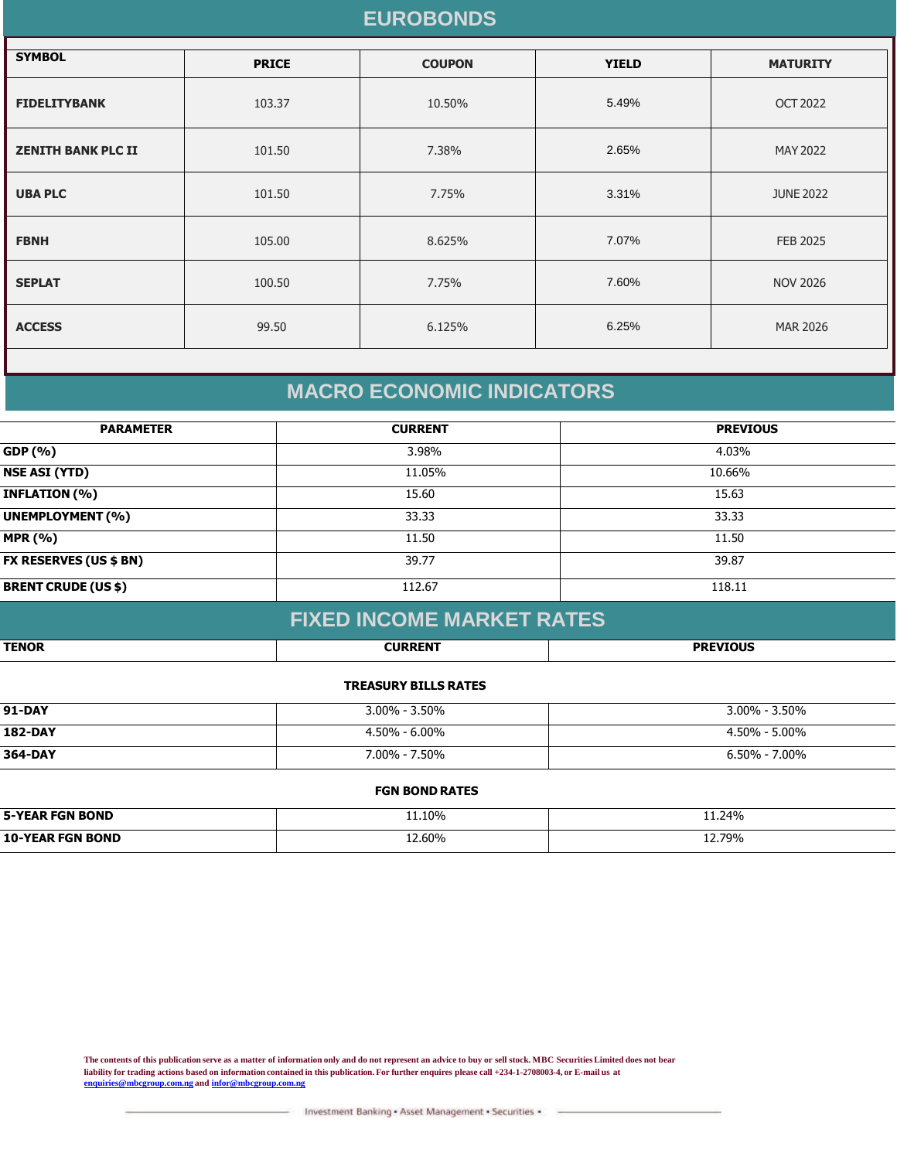### **EUROBONDS**

| <b>SYMBOL</b>             | <b>PRICE</b> | <b>COUPON</b> | <b>YIELD</b> | <b>MATURITY</b>  |
|---------------------------|--------------|---------------|--------------|------------------|
| <b>FIDELITYBANK</b>       | 103.37       | 10.50%        | 5.49%        | <b>OCT 2022</b>  |
| <b>ZENITH BANK PLC II</b> | 101.50       | 7.38%         | 2.65%        | MAY 2022         |
| <b>UBA PLC</b>            | 101.50       | 7.75%         | 3.31%        | <b>JUNE 2022</b> |
| <b>FBNH</b>               | 105.00       | 8.625%        | 7.07%        | <b>FEB 2025</b>  |
| <b>SEPLAT</b>             | 100.50       | 7.75%         | 7.60%        | <b>NOV 2026</b>  |
| <b>ACCESS</b>             | 99.50        | 6.125%        | 6.25%        | <b>MAR 2026</b>  |
|                           |              |               |              |                  |

### **MACRO ECONOMIC INDICATORS**

| <b>PARAMETER</b>              | <b>CURRENT</b> | <b>PREVIOUS</b> |
|-------------------------------|----------------|-----------------|
| GDP (%)                       | 3.98%          | 4.03%           |
| <b>NSE ASI (YTD)</b>          | 11.05%         | 10.66%          |
| <b>INFLATION (%)</b>          | 15.60          | 15.63           |
| <b>UNEMPLOYMENT (%)</b>       | 33.33          | 33.33           |
| <b>MPR (%)</b>                | 11.50          | 11.50           |
| <b>FX RESERVES (US \$ BN)</b> | 39.77          | 39.87           |
| <b>BRENT CRUDE (US \$)</b>    | 112.67         | 118.11          |

### **FIXED INCOME MARKET RATES**

| <b>TENOR</b> | 211885217 | <b>DREVIOUS</b> |
|--------------|-----------|-----------------|
|              |           |                 |

#### **TREASURY BILLS RATES**

| <b>91-DAY</b>  | $3.00\%$ - 3.50%  | $3.00\% - 3.50\%$ |
|----------------|-------------------|-------------------|
| <b>182-DAY</b> | $4.50\% - 6.00\%$ | $4.50\% - 5.00\%$ |
| 364-DAY        | 7.00% - 7.50%     | $6.50\% - 7.00\%$ |

#### **FGN BOND RATES**

| <b>5-YEAR FGN BOND</b> | 11.10% | 11.24% |
|------------------------|--------|--------|
| 10-YEAI<br>FGN ROND    | 2.60%  | 12.79% |

**The contents of this publication serve as a matter of information only and do not represent an advice to buy or sell stock. MBC Securities Limited does not bear liability for trading actions based on information contained in this publication. For further enquires please call +234-1-2708003-4, or E-mail us at [enquiries@mbcgroup.com.ng](mailto:enquiries@mbcgroup.com.ng) and [infor@mbcgroup.com.ng](mailto:infor@mbcgroup.com.ng)**

Investment Banking - Asset Management - Securities -